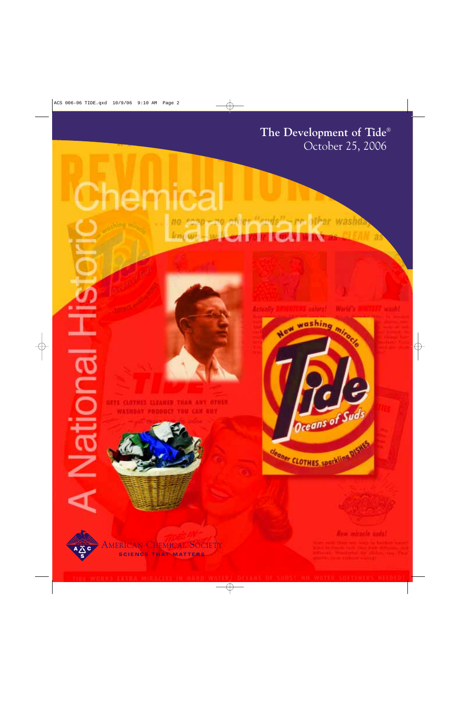The Development of Tide® October 25, 2006

# hemic: no seen-no of er "ends"-re alter washib *know* - when now to you





**BUO** 

≝





shot shot m

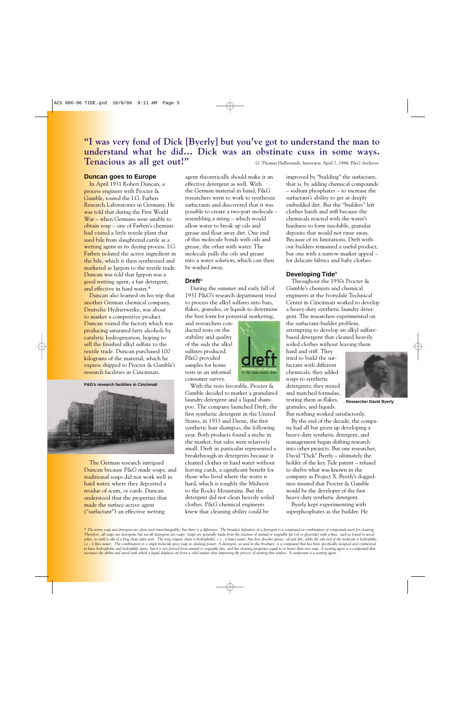# **"I was very fond of Dick [Byerly] but you've got to understand the man to understand what he did… Dick was an obstinate cuss in some ways. Tenacious as all get out!"** G. Thomas Halberstadt, Interview, April 7, 1984, P&G Archives

### **Duncan goes to Europe**

In April 1931 Robert Duncan, a process engineer with Procter & Gamble, toured the I.G. Farben Research Laboratories in Germany. He was told that during the First World War – when Germans were unable to obtain soap – one of Farben's chemists had visited a little textile plant that used bile from slaughtered cattle as a wetting agent in its dyeing process. I.G. Farben isolated the active ingredient in the bile, which it then synthesized and marketed as Igepon to the textile trade. Duncan was told that Igepon was a good wetting agent, a fair detergent, and effective in hard water.\*

Duncan also learned on his trip that another German chemical company, Deutsche Hydrierwerke, was about to market a competitive product. Duncan visited the factory which was producing saturated fatty alcohols by catalytic hydrogenation, hoping to sell the finished alkyl sulfate to the textile trade. Duncan purchased 100 kilograms of the material, which he express shipped to Procter & Gamble's research facilities in Cincinnati.

**P&G's research facilities in Cincinnati**



The German research intrigued Duncan because P&G made soaps, and traditional soaps did not work well in hard water, where they deposited a residue of scum, or curds. Duncan understood that the properties that made the surface-active agent ("surfactant") an effective wetting

agent theoretically should make it an effective detergent as well. With the German material in hand, P&G researchers went to work to synthesize surfactants and discovered that it was possible to create a two-part molecule – resembling a string – which would allow water to break up oils and grease and float away dirt. One end of this molecule bonds with oils and grease, the other with water. The molecule pulls the oils and grease into a water solution, which can then be washed away.

### **Dreft®**

During the summer and early fall of 1931 P&G's research department tried to process the alkyl sulfates into bars, flakes, granules, or liquids to determine the best form for potential marketing,

and researchers conducted tests on the stability and quality of the suds the alkyl sulfates produced. P&G provided samples for home tests in an informal consumer survey.



With the tests favorable, Procter & Gamble decided to market a granulated laundry detergent and a liquid shampoo. The company launched Dreft, the first synthetic detergent in the United States, in 1933 and Drene, the first synthetic hair shampoo, the following year. Both products found a niche in the market, but sales were relatively small. Dreft in particular represented a breakthrough in detergents because it cleaned clothes in hard water without leaving curds, a significant benefit for those who lived where the water is hard, which is roughly the Midwest to the Rocky Mountains. But the detergent did not clean heavily soiled clothes. P&G chemical engineers knew that cleaning ability could be

that is, by adding chemical compounds – sodium phosphates – to increase the surfactant's ability to get at deeply embedded dirt. But the "builders" left clothes harsh and stiff because the chemicals reacted with the water's hardness to form insoluble, granular deposits that would not rinse away. Because of its limitations, Dreft without builders remained a useful product, but one with a narrow market appeal – for delicate fabrics and baby clothes.

improved by "building" the surfactant,

### **Developing Tide®**

Throughout the 1930s Procter & Gamble's chemists and chemical engineers at the Ivorydale Technical Center in Cincinnati worked to develop a heavy-duty synthetic laundry detergent. The researchers experimented on the surfactant-builder problem, attempting to develop an alkyl sulfatebased detergent that cleaned heavily soiled clothes without leaving them

hard and stiff. They tried to build the surfactant with different chemicals; they added soaps to synthetic detergents; they mixed and matched formulae, testing them as flakes, granules, and liquids.



**Researcher David Byerly**

But nothing worked satisfactorily. By the end of the decade, the company had all but given up developing a heavy-duty synthetic detergent, and management began shifting research into other projects. But one researcher, David "Dick" Byerly – ultimately the holder of the key Tide patent – refused to shelve what was known in the company as Project X. Byerly's doggedness insured that Procter & Gamble would be the developer of the first heavy-duty synthetic detergent.

Byerly kept experimenting with superphosphates as the builder. He

*\* The terms soap and detergent are often used interchangeably, but there is a difference. The broadest definition of a detergent is a compound or combination of compounds used for cleaning. Therefore, all soaps are detergents but not all detergents are soaps. Soaps are generally made from the reaction of animal or vegetable fat (oil or glyceride) with a base, such as found in wood ashes, to yield a salt of a long chain fatty acid. The long organic chain is hydrophobic, i.e., it hates water, but does dissolve grease, oil and dirt, while the salt end of the molecule is hydrophilic, i.e., it likes water. The combination in a single molecule gives soap its cleaning power. A detergent, as used in this brochure, is a compound that has been specifically designed and synthesized to have hydrophobic and hydrophilic parts, but it is not derived from animal or vegetable fats, and has cleaning properties equal to or better than any soap. A wetting agent is a compound that increases the ability and speed with which a liquid displaces air from a solid surface thus improving the process of wetting that surface. A surfactant is a wetting agent.*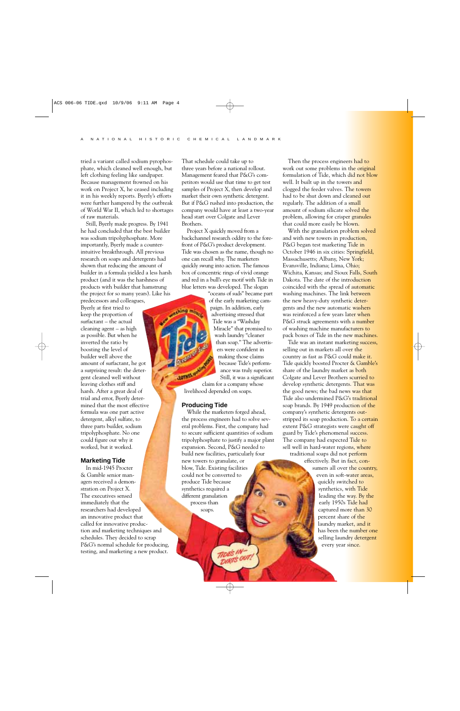**Septing my** 

**JOTHES, OF** 

tried a variant called sodium pyrophosphate, which cleaned well enough, but left clothing feeling like sandpaper. Because management frowned on his work on Project X, he ceased including it in his weekly reports. Byerly's efforts were further hampered by the outbreak of World War II, which led to shortages of raw materials.

Still, Byerly made progress. By 1941 he had concluded that the best builder was sodium tripolyphosphate. More importantly, Byerly made a counterintuitive breakthrough. All previous research on soaps and detergents had shown that reducing the amount of builder in a formula yielded a less harsh product (and it was the harshness of products with builder that hamstrung the project for so many years). Like his

predecessors and colleagues, Byerly at first tried to keep the proportion of surfactant – the actual cleaning agent – as high as possible. But when he inverted the ratio by boosting the level of builder well above the amount of surfactant, he got a surprising result: the detergent cleaned well without leaving clothes stiff and harsh. After a great deal of trial and error, Byerly determined that the most effective formula was one part active detergent, alkyl sulfate, to three parts builder, sodium tripolyphosphate. No one could figure out why it worked, but it worked.

## **Marketing Tide**

In mid-1945 Procter & Gamble senior managers received a demonstration on Project X. The executives sensed immediately that the researchers had developed an innovative product that called for innovative production and marketing techniques and schedules. They decided to scrap P&G's normal schedule for producing, testing, and marketing a new product.

That schedule could take up to three years before a national rollout. Management feared that P&G's competitors would use that time to get test samples of Project X, then develop and market their own synthetic detergent. But if P&G rushed into production, the company would have at least a two-year head start over Colgate and Lever Brothers.

Project X quickly moved from a backchannel research oddity to the forefront of P&G's product development. Tide was chosen as the name, though no one can recall why. The marketers quickly swung into action. The famous box of concentric rings of vivid orange and red in a bull's eye motif with Tide in blue letters was developed. The slogan

> "oceans of suds" became part of the early marketing campaign. In addition, early advertising stressed that Tide was a "Washday Miracle" that promised to wash laundry "cleaner than soap." The advertisers were confident in making those claims because Tide's performance was truly superior. Still, it was a significant

claim for a company whose livelihood depended on soaps.

#### **Producing Tide**

While the marketers forged ahead, the process engineers had to solve several problems. First, the company had to secure sufficient quantities of sodium tripolyphosphate to justify a major plant expansion. Second, P&G needed to build new facilities, particularly four new towers to granulate, or blow, Tide. Existing facilities could not be converted to produce Tide because synthetics required a different granulation process than

**DIRTS OUT** 

soaps.

Then the process engineers had to work out some problems in the original formulation of Tide, which did not blow well. It built up in the towers and clogged the feeder valves. The towers had to be shut down and cleaned out regularly. The addition of a small amount of sodium silicate solved the problem, allowing for crisper granules that could more easily be blown.

With the granulation problem solved and with new towers in production, P&G began test marketing Tide in October 1946 in six cities: Springfield, Massachusetts; Albany, New York; Evansville, Indiana; Lima, Ohio; Wichita, Kansas; and Sioux Falls, South Dakota. The date of the introduction coincided with the spread of automatic washing machines. The link between the new heavy-duty synthetic detergents and the new automatic washers was reinforced a few years later when P&G struck agreements with a number of washing machine manufacturers to pack boxes of Tide in the new machines.

Tide was an instant marketing success, selling out in markets all over the country as fast as P&G could make it. Tide quickly boosted Procter & Gamble's share of the laundry market as both Colgate and Lever Brothers scurried to develop synthetic detergents. That was the good news; the bad news was that Tide also undermined P&G's traditional soap brands. By 1949 production of the company's synthetic detergents outstripped its soap production. To a certain extent P&G strategists were caught off guard by Tide's phenomenal success. The company had expected Tide to sell well in hard-water regions, where traditional soaps did not perform

> effectively. But in fact, consumers all over the country, even in soft-water areas, quickly switched to synthetics, with Tide leading the way. By the early 1950s Tide had captured more than 30 percent share of the laundry market, and it has been the number one selling laundry detergent every year since.